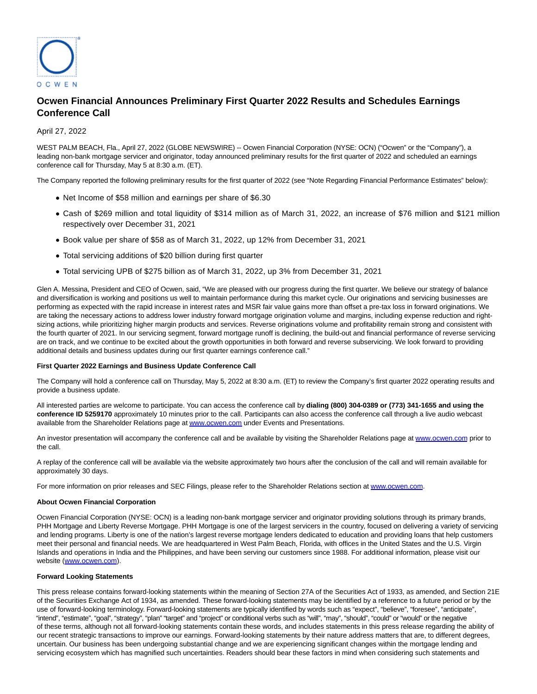

# **Ocwen Financial Announces Preliminary First Quarter 2022 Results and Schedules Earnings Conference Call**

# April 27, 2022

WEST PALM BEACH, Fla., April 27, 2022 (GLOBE NEWSWIRE) -- Ocwen Financial Corporation (NYSE: OCN) ("Ocwen" or the "Company"), a leading non-bank mortgage servicer and originator, today announced preliminary results for the first quarter of 2022 and scheduled an earnings conference call for Thursday, May 5 at 8:30 a.m. (ET).

The Company reported the following preliminary results for the first quarter of 2022 (see "Note Regarding Financial Performance Estimates" below):

- Net Income of \$58 million and earnings per share of \$6.30
- Cash of \$269 million and total liquidity of \$314 million as of March 31, 2022, an increase of \$76 million and \$121 million respectively over December 31, 2021
- Book value per share of \$58 as of March 31, 2022, up 12% from December 31, 2021
- Total servicing additions of \$20 billion during first quarter
- Total servicing UPB of \$275 billion as of March 31, 2022, up 3% from December 31, 2021

Glen A. Messina, President and CEO of Ocwen, said, "We are pleased with our progress during the first quarter. We believe our strategy of balance and diversification is working and positions us well to maintain performance during this market cycle. Our originations and servicing businesses are performing as expected with the rapid increase in interest rates and MSR fair value gains more than offset a pre-tax loss in forward originations. We are taking the necessary actions to address lower industry forward mortgage origination volume and margins, including expense reduction and rightsizing actions, while prioritizing higher margin products and services. Reverse originations volume and profitability remain strong and consistent with the fourth quarter of 2021. In our servicing segment, forward mortgage runoff is declining, the build-out and financial performance of reverse servicing are on track, and we continue to be excited about the growth opportunities in both forward and reverse subservicing. We look forward to providing additional details and business updates during our first quarter earnings conference call."

# **First Quarter 2022 Earnings and Business Update Conference Call**

The Company will hold a conference call on Thursday, May 5, 2022 at 8:30 a.m. (ET) to review the Company's first quarter 2022 operating results and provide a business update.

All interested parties are welcome to participate. You can access the conference call by **dialing (800) 304-0389 or (773) 341-1655 and using the conference ID 5259170** approximately 10 minutes prior to the call. Participants can also access the conference call through a live audio webcast available from the Shareholder Relations page a[t www.ocwen.com u](https://www.globenewswire.com/Tracker?data=7pWepqEFP3sgKTQWiuQFe85IUQGEH-Ryj5NO4u2T1oGyXtLZEc4meNn00FReuOwXvB7jN8NB1vBEaxXKHKQG6g==)nder Events and Presentations.

An investor presentation will accompany the conference call and be available by visiting the Shareholder Relations page at [www.ocwen.com p](https://www.globenewswire.com/Tracker?data=7pWepqEFP3sgKTQWiuQFe_JYnEO1emPE7foP2lZzMKqml-HXULsQ0V3OeuMMlYCIjiLWjJ_t0w8VuHYh9L1l2Q==)rior to the call.

A replay of the conference call will be available via the website approximately two hours after the conclusion of the call and will remain available for approximately 30 days.

For more information on prior releases and SEC Filings, please refer to the Shareholder Relations section at [www.ocwen.com.](https://www.globenewswire.com/Tracker?data=7pWepqEFP3sgKTQWiuQFe17i91YgUHI488rPt4ietRfUGBHs7qj7L67_TL4PaXdynkikatridFEQR2LoCMZNPA==)

### **About Ocwen Financial Corporation**

Ocwen Financial Corporation (NYSE: OCN) is a leading non-bank mortgage servicer and originator providing solutions through its primary brands, PHH Mortgage and Liberty Reverse Mortgage. PHH Mortgage is one of the largest servicers in the country, focused on delivering a variety of servicing and lending programs. Liberty is one of the nation's largest reverse mortgage lenders dedicated to education and providing loans that help customers meet their personal and financial needs. We are headquartered in West Palm Beach, Florida, with offices in the United States and the U.S. Virgin Islands and operations in India and the Philippines, and have been serving our customers since 1988. For additional information, please visit our website [\(www.ocwen.com\)](https://www.globenewswire.com/Tracker?data=7pWepqEFP3sgKTQWiuQFe9pDihAqjSutpiuiuMRG2_fWuu6HJmH3-NeODlc8ZW86UN23T6gfCN9uTXnZJ8T_KQ==).

#### **Forward Looking Statements**

This press release contains forward-looking statements within the meaning of Section 27A of the Securities Act of 1933, as amended, and Section 21E of the Securities Exchange Act of 1934, as amended. These forward-looking statements may be identified by a reference to a future period or by the use of forward-looking terminology. Forward-looking statements are typically identified by words such as "expect", "believe", "foresee", "anticipate", "intend", "estimate", "goal", "strategy", "plan" "target" and "project" or conditional verbs such as "will", "may", "should", "could" or "would" or the negative of these terms, although not all forward-looking statements contain these words, and includes statements in this press release regarding the ability of our recent strategic transactions to improve our earnings. Forward-looking statements by their nature address matters that are, to different degrees, uncertain. Our business has been undergoing substantial change and we are experiencing significant changes within the mortgage lending and servicing ecosystem which has magnified such uncertainties. Readers should bear these factors in mind when considering such statements and